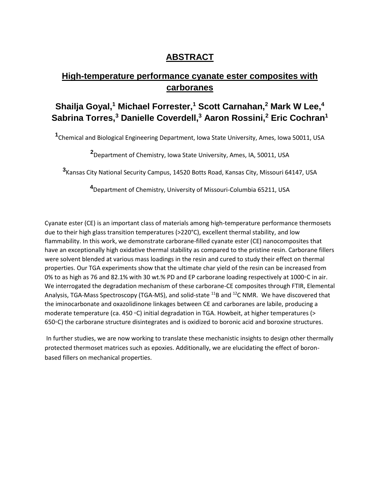## **ABSTRACT**

## **High-temperature performance cyanate ester composites with carboranes**

## **Shailja Goyal,<sup>1</sup> Michael Forrester,<sup>1</sup> Scott Carnahan,<sup>2</sup> Mark W Lee,<sup>4</sup> Sabrina Torres,<sup>3</sup> Danielle Coverdell,<sup>3</sup> Aaron Rossini,<sup>2</sup> Eric Cochran<sup>1</sup>**

**1** Chemical and Biological Engineering Department, Iowa State University, Ames, Iowa 50011, USA

**<sup>2</sup>**Department of Chemistry, Iowa State University, Ames, IA, 50011, USA

**3** Kansas City National Security Campus, 14520 Botts Road, Kansas City, Missouri 64147, USA

**<sup>4</sup>**Department of Chemistry, University of Missouri-Columbia 65211, USA

Cyanate ester (CE) is an important class of materials among high-temperature performance thermosets due to their high glass transition temperatures (>220°C), excellent thermal stability, and low flammability. In this work, we demonstrate carborane-filled cyanate ester (CE) nanocomposites that have an exceptionally high oxidative thermal stability as compared to the pristine resin. Carborane fillers were solvent blended at various mass loadings in the resin and cured to study their effect on thermal properties. Our TGA experiments show that the ultimate char yield of the resin can be increased from 0% to as high as 76 and 82.1% with 30 wt.% PD and EP carborane loading respectively at 1000◦C in air. We interrogated the degradation mechanism of these carborane-CE composites through FTIR, Elemental Analysis, TGA-Mass Spectroscopy (TGA-MS), and solid-state <sup>11</sup>B and <sup>12</sup>C NMR. We have discovered that the iminocarbonate and oxazolidinone linkages between CE and carboranes are labile, producing a moderate temperature (ca. 450 ◦C) initial degradation in TGA. Howbeit, at higher temperatures (> 650◦C) the carborane structure disintegrates and is oxidized to boronic acid and boroxine structures.

In further studies, we are now working to translate these mechanistic insights to design other thermally protected thermoset matrices such as epoxies. Additionally, we are elucidating the effect of boronbased fillers on mechanical properties.